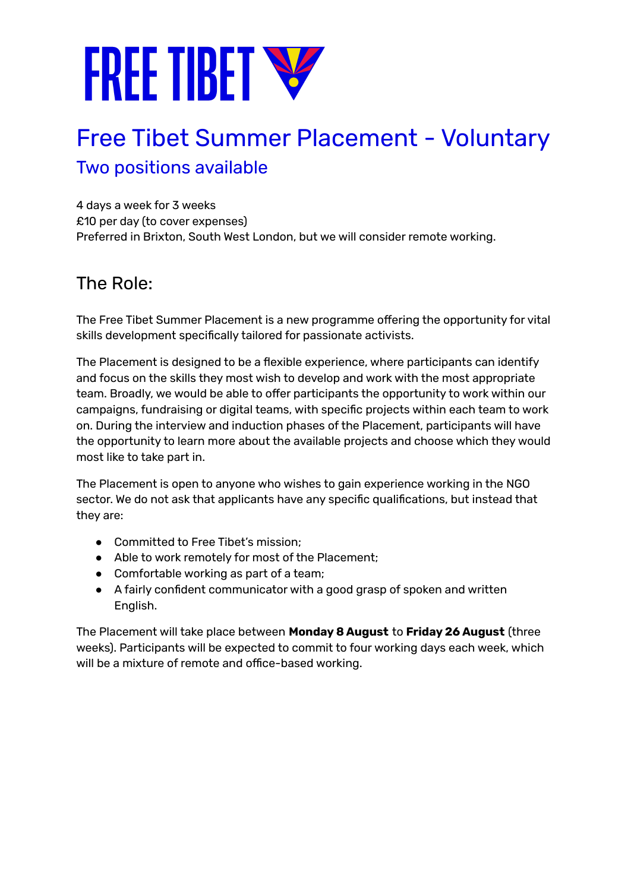# **FREE TIBET W**

### Free Tibet Summer Placement - Voluntary Two positions available

4 days a week for 3 weeks £10 per day (to cover expenses) Preferred in Brixton, South West London, but we will consider remote working.

#### The Role:

The Free Tibet Summer Placement is a new programme offering the opportunity for vital skills development specifically tailored for passionate activists.

The Placement is designed to be a flexible experience, where participants can identify and focus on the skills they most wish to develop and work with the most appropriate team. Broadly, we would be able to offer participants the opportunity to work within our campaigns, fundraising or digital teams, with specific projects within each team to work on. During the interview and induction phases of the Placement, participants will have the opportunity to learn more about the available projects and choose which they would most like to take part in.

The Placement is open to anyone who wishes to gain experience working in the NGO sector. We do not ask that applicants have any specific qualifications, but instead that they are:

- Committed to Free Tibet's mission:
- Able to work remotely for most of the Placement;
- Comfortable working as part of a team;
- A fairly confident communicator with a good grasp of spoken and written English.

The Placement will take place between **Monday 8 August** to **Friday 26 August** (three weeks). Participants will be expected to commit to four working days each week, which will be a mixture of remote and office-based working.